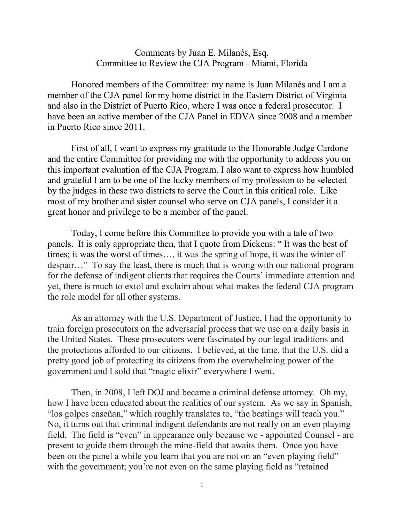## Comments by Juan E. Milanés, Esq. Committee to Review the CJA Program - Miami, Florida

Honored members of the Committee: my name is Juan Milanés and I am a member of the CJA panel for my home district in the Eastern District of Virginia and also in the District of Puerto Rico, where I was once a federal prosecutor. I have been an active member of the CJA Panel in EDVA since 2008 and a member in Puerto Rico since 2011.

First of all, I want to express my gratitude to the Honorable Judge Cardone and the entire Committee for providing me with the opportunity to address you on this important evaluation of the CJA Program. I also want to express how humbled and grateful I am to be one of the lucky members of my profession to be selected by the judges in these two districts to serve the Court in this critical role. Like most of my brother and sister counsel who serve on CJA panels, I consider it a great honor and privilege to be a member of the panel.

Today, I come before this Committee to provide you with a tale of two panels. It is only appropriate then, that I quote from Dickens: " It was the best of times; it was the worst of times…, it was the spring of hope, it was the winter of despair…" To say the least, there is much that is wrong with our national program for the defense of indigent clients that requires the Courts' immediate attention and yet, there is much to extol and exclaim about what makes the federal CJA program the role model for all other systems.

As an attorney with the U.S. Department of Justice, I had the opportunity to train foreign prosecutors on the adversarial process that we use on a daily basis in the United States. These prosecutors were fascinated by our legal traditions and the protections afforded to our citizens. I believed, at the time, that the U.S. did a pretty good job of protecting its citizens from the overwhelming power of the government and I sold that "magic elixir" everywhere I went.

Then, in 2008, I left DOJ and became a criminal defense attorney. Oh my, how I have been educated about the realities of our system. As we say in Spanish, "los golpes enseñan," which roughly translates to, "the beatings will teach you." No, it turns out that criminal indigent defendants are not really on an even playing field. The field is "even" in appearance only because we - appointed Counsel - are present to guide them through the mine-field that awaits them. Once you have been on the panel a while you learn that you are not on an "even playing field" with the government; you're not even on the same playing field as "retained"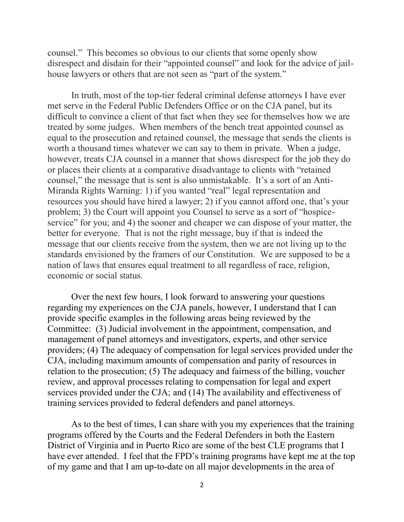counsel." This becomes so obvious to our clients that some openly show disrespect and disdain for their "appointed counsel" and look for the advice of jailhouse lawyers or others that are not seen as "part of the system."

In truth, most of the top-tier federal criminal defense attorneys I have ever met serve in the Federal Public Defenders Office or on the CJA panel, but its difficult to convince a client of that fact when they see for themselves how we are treated by some judges. When members of the bench treat appointed counsel as equal to the prosecution and retained counsel, the message that sends the clients is worth a thousand times whatever we can say to them in private. When a judge, however, treats CJA counsel in a manner that shows disrespect for the job they do or places their clients at a comparative disadvantage to clients with "retained counsel," the message that is sent is also unmistakable. It's a sort of an Anti-Miranda Rights Warning: 1) if you wanted "real" legal representation and resources you should have hired a lawyer; 2) if you cannot afford one, that's your problem; 3) the Court will appoint you Counsel to serve as a sort of "hospiceservice" for you; and 4) the sooner and cheaper we can dispose of your matter, the better for everyone. That is not the right message, buy if that is indeed the message that our clients receive from the system, then we are not living up to the standards envisioned by the framers of our Constitution. We are supposed to be a nation of laws that ensures equal treatment to all regardless of race, religion, economic or social status.

Over the next few hours, I look forward to answering your questions regarding my experiences on the CJA panels, however, I understand that I can provide specific examples in the following areas being reviewed by the Committee: (3) Judicial involvement in the appointment, compensation, and management of panel attorneys and investigators, experts, and other service providers; (4) The adequacy of compensation for legal services provided under the CJA, including maximum amounts of compensation and parity of resources in relation to the prosecution; (5) The adequacy and fairness of the billing, voucher review, and approval processes relating to compensation for legal and expert services provided under the CJA; and (14) The availability and effectiveness of training services provided to federal defenders and panel attorneys.

As to the best of times, I can share with you my experiences that the training programs offered by the Courts and the Federal Defenders in both the Eastern District of Virginia and in Puerto Rico are some of the best CLE programs that I have ever attended. I feel that the FPD's training programs have kept me at the top of my game and that I am up-to-date on all major developments in the area of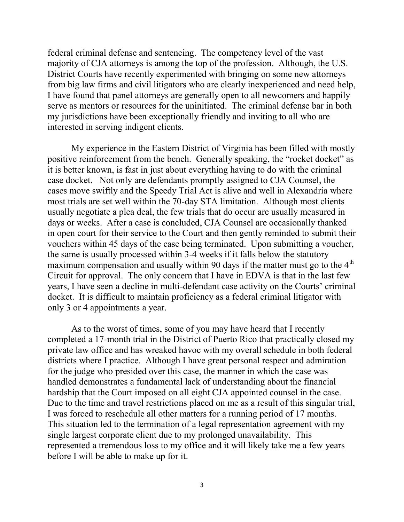federal criminal defense and sentencing. The competency level of the vast majority of CJA attorneys is among the top of the profession. Although, the U.S. District Courts have recently experimented with bringing on some new attorneys from big law firms and civil litigators who are clearly inexperienced and need help, I have found that panel attorneys are generally open to all newcomers and happily serve as mentors or resources for the uninitiated. The criminal defense bar in both my jurisdictions have been exceptionally friendly and inviting to all who are interested in serving indigent clients.

My experience in the Eastern District of Virginia has been filled with mostly positive reinforcement from the bench. Generally speaking, the "rocket docket" as it is better known, is fast in just about everything having to do with the criminal case docket. Not only are defendants promptly assigned to CJA Counsel, the cases move swiftly and the Speedy Trial Act is alive and well in Alexandria where most trials are set well within the 70-day STA limitation. Although most clients usually negotiate a plea deal, the few trials that do occur are usually measured in days or weeks. After a case is concluded, CJA Counsel are occasionally thanked in open court for their service to the Court and then gently reminded to submit their vouchers within 45 days of the case being terminated. Upon submitting a voucher, the same is usually processed within 3-4 weeks if it falls below the statutory maximum compensation and usually within 90 days if the matter must go to the  $4<sup>th</sup>$ Circuit for approval. The only concern that I have in EDVA is that in the last few years, I have seen a decline in multi-defendant case activity on the Courts' criminal docket. It is difficult to maintain proficiency as a federal criminal litigator with only 3 or 4 appointments a year.

As to the worst of times, some of you may have heard that I recently completed a 17-month trial in the District of Puerto Rico that practically closed my private law office and has wreaked havoc with my overall schedule in both federal districts where I practice. Although I have great personal respect and admiration for the judge who presided over this case, the manner in which the case was handled demonstrates a fundamental lack of understanding about the financial hardship that the Court imposed on all eight CJA appointed counsel in the case. Due to the time and travel restrictions placed on me as a result of this singular trial, I was forced to reschedule all other matters for a running period of 17 months. This situation led to the termination of a legal representation agreement with my single largest corporate client due to my prolonged unavailability. This represented a tremendous loss to my office and it will likely take me a few years before I will be able to make up for it.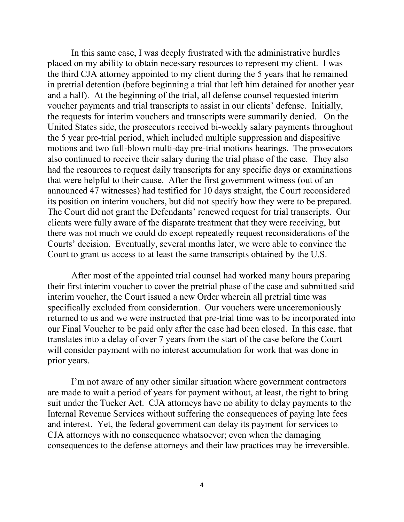In this same case, I was deeply frustrated with the administrative hurdles placed on my ability to obtain necessary resources to represent my client. I was the third CJA attorney appointed to my client during the 5 years that he remained in pretrial detention (before beginning a trial that left him detained for another year and a half). At the beginning of the trial, all defense counsel requested interim voucher payments and trial transcripts to assist in our clients' defense. Initially, the requests for interim vouchers and transcripts were summarily denied. On the United States side, the prosecutors received bi-weekly salary payments throughout the 5 year pre-trial period, which included multiple suppression and dispositive motions and two full-blown multi-day pre-trial motions hearings. The prosecutors also continued to receive their salary during the trial phase of the case. They also had the resources to request daily transcripts for any specific days or examinations that were helpful to their cause. After the first government witness (out of an announced 47 witnesses) had testified for 10 days straight, the Court reconsidered its position on interim vouchers, but did not specify how they were to be prepared. The Court did not grant the Defendants' renewed request for trial transcripts. Our clients were fully aware of the disparate treatment that they were receiving, but there was not much we could do except repeatedly request reconsiderations of the Courts' decision. Eventually, several months later, we were able to convince the Court to grant us access to at least the same transcripts obtained by the U.S.

After most of the appointed trial counsel had worked many hours preparing their first interim voucher to cover the pretrial phase of the case and submitted said interim voucher, the Court issued a new Order wherein all pretrial time was specifically excluded from consideration. Our vouchers were unceremoniously returned to us and we were instructed that pre-trial time was to be incorporated into our Final Voucher to be paid only after the case had been closed. In this case, that translates into a delay of over 7 years from the start of the case before the Court will consider payment with no interest accumulation for work that was done in prior years.

I'm not aware of any other similar situation where government contractors are made to wait a period of years for payment without, at least, the right to bring suit under the Tucker Act. CJA attorneys have no ability to delay payments to the Internal Revenue Services without suffering the consequences of paying late fees and interest. Yet, the federal government can delay its payment for services to CJA attorneys with no consequence whatsoever; even when the damaging consequences to the defense attorneys and their law practices may be irreversible.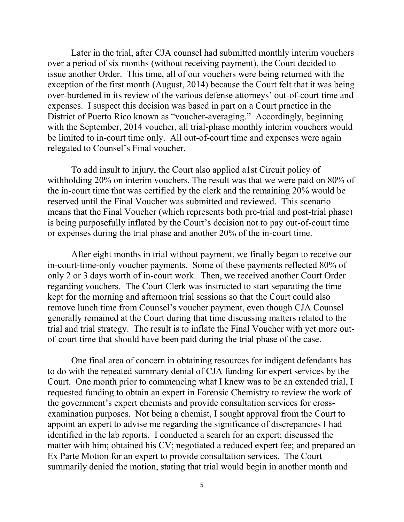Later in the trial, after CJA counsel had submitted monthly interim vouchers over a period of six months (without receiving payment), the Court decided to issue another Order. This time, all of our vouchers were being returned with the exception of the first month (August, 2014) because the Court felt that it was being over-burdened in its review of the various defense attorneys' out-of-court time and expenses. I suspect this decision was based in part on a Court practice in the District of Puerto Rico known as "voucher-averaging." Accordingly, beginning with the September, 2014 voucher, all trial-phase monthly interim vouchers would be limited to in-court time only. All out-of-court time and expenses were again relegated to Counsel's Final voucher.

To add insult to injury, the Court also applied a1st Circuit policy of withholding 20% on interim vouchers. The result was that we were paid on 80% of the in-court time that was certified by the clerk and the remaining 20% would be reserved until the Final Voucher was submitted and reviewed. This scenario means that the Final Voucher (which represents both pre-trial and post-trial phase) is being purposefully inflated by the Court's decision not to pay out-of-court time or expenses during the trial phase and another 20% of the in-court time.

After eight months in trial without payment, we finally began to receive our in-court-time-only voucher payments. Some of these payments reflected 80% of only 2 or 3 days worth of in-court work. Then, we received another Court Order regarding vouchers. The Court Clerk was instructed to start separating the time kept for the morning and afternoon trial sessions so that the Court could also remove lunch time from Counsel's voucher payment, even though CJA Counsel generally remained at the Court during that time discussing matters related to the trial and trial strategy. The result is to inflate the Final Voucher with yet more outof-court time that should have been paid during the trial phase of the case.

One final area of concern in obtaining resources for indigent defendants has to do with the repeated summary denial of CJA funding for expert services by the Court. One month prior to commencing what I knew was to be an extended trial, I requested funding to obtain an expert in Forensic Chemistry to review the work of the government's expert chemists and provide consultation services for crossexamination purposes. Not being a chemist, I sought approval from the Court to appoint an expert to advise me regarding the significance of discrepancies I had identified in the lab reports. I conducted a search for an expert; discussed the matter with him; obtained his CV; negotiated a reduced expert fee; and prepared an Ex Parte Motion for an expert to provide consultation services. The Court summarily denied the motion, stating that trial would begin in another month and